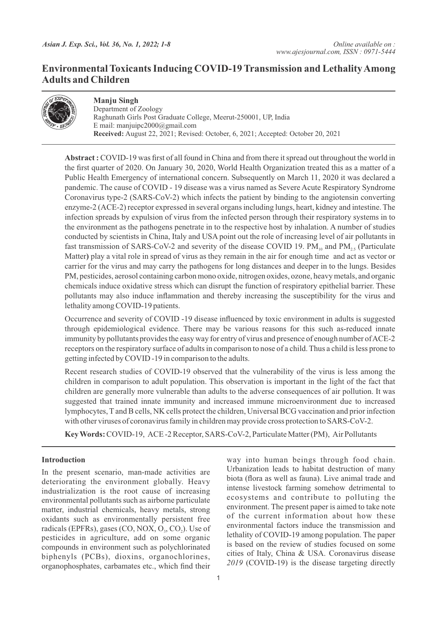## **Environmental Toxicants Inducing COVID-19 Transmission and Lethality Among Adults and Children**



**Manju Singh** Department of Zoology Raghunath Girls Post Graduate College, Meerut-250001, UP, India E mail: manjuipc2000@gmail.com **Received:** August 22, 2021; Revised: October, 6, 2021; Accepted: October 20, 2021

**Abstract :** COVID-19 was first of all found in China and from there it spread out throughout the world in the first quarter of 2020. On January 30, 2020, World Health Organization treated this as a matter of a Public Health Emergency of international concern. Subsequently on March 11, 2020 it was declared a pandemic. The cause of COVID - 19 disease was a virus named as Severe Acute Respiratory Syndrome Coronavirus type-2 (SARS-CoV-2) which infects the patient by binding to the angiotensin converting enzyme-2 (ACE-2) receptor expressed in several organs including lungs, heart, kidney and intestine. The infection spreads by expulsion of virus from the infected person through their respiratory systems in to the environment as the pathogens penetrate in to the respective host by inhalation. A number of studies conducted by scientists in China, Italy and USA point out the role of increasing level of air pollutants in fast transmission of SARS-CoV-2 and severity of the disease COVID 19.  $PM_{10}$  and  $PM_{25}$  (Particulate Matter**)** play a vital role in spread of virus as they remain in the air for enough time and act as vector or carrier for the virus and may carry the pathogens for long distances and deeper in to the lungs. Besides PM, pesticides, aerosol containing carbon mono oxide, nitrogen oxides, ozone, heavy metals, and organic chemicals induce oxidative stress which can disrupt the function of respiratory epithelial barrier. These pollutants may also induce inflammation and thereby increasing the susceptibility for the virus and lethality among COVID-19 patients.

Occurrence and severity of COVID -19 disease influenced by toxic environment in adults is suggested through epidemiological evidence. There may be various reasons for this such as-reduced innate immunity by pollutants provides the easy way for entry of virus and presence of enough number of ACE-2 receptors on the respiratory surface of adults in comparison to nose of a child. Thus a child is less prone to getting infected by COVID -19 in comparison to the adults.

Recent research studies of COVID-19 observed that the vulnerability of the virus is less among the children in comparison to adult population. This observation is important in the light of the fact that children are generally more vulnerable than adults to the adverse consequences of air pollution. It was suggested that trained innate immunity and increased immune microenvironment due to increased lymphocytes, Tand B cells, NK cells protect the children, Universal BCG vaccination and prior infection with other viruses of coronavirus family in children may provide cross protection to SARS-CoV-2.

**Key Words:** COVID-19, ACE -2 Receptor, SARS-CoV-2, Particulate Matter (PM), Air Pollutants

### **Introduction**

In the present scenario, man-made activities are deteriorating the environment globally. Heavy industrialization is the root cause of increasing environmental pollutants such as airborne particulate matter, industrial chemicals, heavy metals, strong oxidants such as environmentally persistent free radicals (EPFRs), gases  $(CO, NOX, O<sub>3</sub>, CO<sub>2</sub>)$ . Use of pesticides in agriculture, add on some organic compounds in environment such as polychlorinated biphenyls (PCBs), dioxins, organochlorines, organophosphates, carbamates etc., which find their

way into human beings through food chain. Urbanization leads to habitat destruction of many biota (flora as well as fauna). Live animal trade and intense livestock farming somehow detrimental to ecosystems and contribute to polluting the environment. The present paper is aimed to take note of the current information about how these environmental factors induce the transmission and lethality of COVID-19 among population. The paper is based on the review of studies focused on some cities of Italy, China & USA. Coronavirus disease *2019* (COVID-19) is the disease targeting directly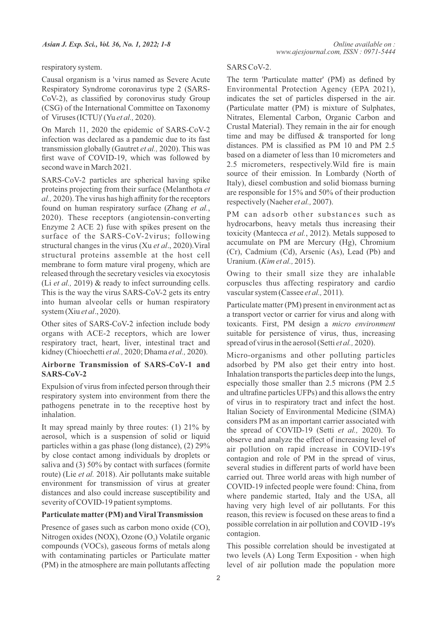respiratory system.

Causal organism is a 'virus named as Severe Acute Respiratory Syndrome coronavirus type 2 (SARS-CoV-2), as classified by coronovirus study Group (CSG) of the International Committee on Taxonomy of Viruses (ICTU)' (Yu *et al.,* 2020).

On March 11, 2020 the epidemic of SARS-CoV-2 infection was declared as a pandemic due to its fast transmission globally (Gautret *et al.,* 2020). This was first wave of COVID-19, which was followed by second wave in March 2021.

SARS-CoV-2 particles are spherical having spike proteins projecting from their surface (Melanthota *et al.,* 2020). The virus has high affinity for the receptors found on human respiratory surface (Zhang *et al.*, 2020). These receptors (angiotensin-converting Enzyme 2 ACE 2) fuse with spikes present on the surface of the SARS-CoV-2virus; following structural changes in the virus (Xu *et al*., 2020).Viral structural proteins assemble at the host cell membrane to form mature viral progeny, which are released through the secretary vesicles via exocytosis (Li *et al.,* 2019) & ready to infect surrounding cells. This is the way the virus SARS-CoV-2 gets its entry into human alveolar cells or human respiratory system (Xiu *et al*., 2020).

Other sites of SARS-CoV-2 infection include body organs with ACE-2 receptors, which are lower respiratory tract, heart, liver, intestinal tract and kidney (Chioechetti *et al.,* 2020; Dhama *et al.,* 2020).

#### **Airborne Transmission of SARS-CoV-1 and SARS-CoV-2**

Expulsion of virus from infected person through their respiratory system into environment from there the pathogens penetrate in to the receptive host by inhalation.

It may spread mainly by three routes: (1) 21% by aerosol, which is a suspension of solid or liquid particles within a gas phase (long distance), (2) 29% by close contact among individuals by droplets or saliva and (3) 50% by contact with surfaces (formite route) (Lie *et al.* 2018). Air pollutants make suitable environment for transmission of virus at greater distances and also could increase susceptibility and severity of COVID-19 patient symptoms.

#### **Particulate matter (PM) and Viral Transmission**

Presence of gases such as carbon mono oxide (CO), Nitrogen oxides (NOX), Ozone  $(O<sub>3</sub>)$  Volatile organic compounds (VOCs), gaseous forms of metals along with contaminating particles or Particulate matter (PM) in the atmosphere are main pollutants affecting

#### SARS CoV-2.

The term 'Particulate matter' (PM) as defined by Environmental Protection Agency (EPA 2021), indicates the set of particles dispersed in the air. (Particulate matter (PM) is mixture of Sulphates, Nitrates, Elemental Carbon, Organic Carbon and Crustal Material). They remain in the air for enough time and may be diffused & transported for long distances. PM is classified as PM 10 and PM 2.5 based on a diameter of less than 10 micrometers and 2.5 micrometers, respectively.Wild fire is main source of their emission. In Lombardy (North of Italy), diesel combustion and solid biomass burning are responsible for 15% and 50% of their production respectively (Naeher *et al.,* 2007).

PM can adsorb other substances such as hydrocarbons, heavy metals thus increasing their toxicity (Mantecca *et al.*, 2012). Metals supposed to accumulate on PM are Mercury (Hg), Chromium (Cr), Cadmium (Cd), Arsenic (As), Lead (Pb) and Uranium. (*Kim et al.,* 2015).

Owing to their small size they are inhalable corpuscles thus affecting respiratory and cardio vascular system (Cassee *et al.,* 2011).

Particulate matter (PM) present in environment act as a transport vector or carrier for virus and along with toxicants. First, PM design a *micro environment* suitable for persistence of virus, thus, increasing spread of virus in the aerosol (Setti *et al.,* 2020).

Micro-organisms and other polluting particles adsorbed by PM also get their entry into host. Inhalation transports the particles deep into the lungs, especially those smaller than 2.5 microns (PM 2.5 and ultrafine particles UFPs) and this allows the entry of virus in to respiratory tract and infect the host. Italian Society of Environmental Medicine (SIMA) considers PM as an important carrier associated with the spread of COVID-19 (Setti *et al.,* 2020). To observe and analyze the effect of increasing level of air pollution on rapid increase in COVID-19's contagion and role of PM in the spread of virus, several studies in different parts of world have been carried out. Three world areas with high number of COVID-19 infected people were found: China, from where pandemic started, Italy and the USA, all having very high level of air pollutants. For this reason, this review is focused on these areas to find a possible correlation in air pollution and COVID -19's contagion.

This possible correlation should be investigated at two levels (A) Long Term Exposition - when high level of air pollution made the population more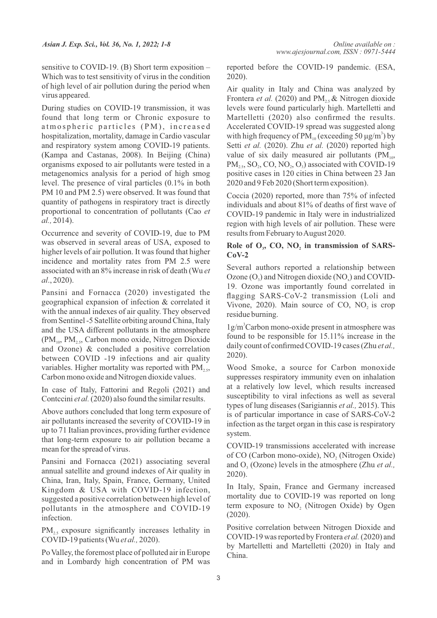sensitive to COVID-19. (B) Short term exposition – Which was to test sensitivity of virus in the condition of high level of air pollution during the period when virus appeared.

During studies on COVID-19 transmission, it was found that long term or Chronic exposure to atmospheric particles (PM), increased hospitalization, mortality, damage in Cardio vascular and respiratory system among COVID-19 patients. (Kampa and Castanas, 2008). In Beijing (China) organisms exposed to air pollutants were tested in a metagenomics analysis for a period of high smog level. The presence of viral particles (0.1% in both PM 10 and PM 2.5) were observed. It was found that quantity of pathogens in respiratory tract is directly proportional to concentration of pollutants (Cao *et al.,* 2014).

Occurrence and severity of COVID-19, due to PM was observed in several areas of USA, exposed to higher levels of air pollution. It was found that higher incidence and mortality rates from PM 2.5 were associated with an 8% increase in risk of death (Wu *et al*., 2020).

Pansini and Fornacca (2020) investigated the geographical expansion of infection & correlated it with the annual indexes of air quality. They observed from Sentinel -5 Satellite orbiting around China, Italy and the USA different pollutants in the atmosphere  $(PM<sub>10</sub>, PM<sub>2.5</sub>, Carbon mono oxide, Nitrogen Dioxide)$ and Ozone) & concluded a positive correlation between COVID -19 infections and air quality variables. Higher mortality was reported with  $PM_{2,5}$ , Carbon mono oxide and Nitrogen dioxide values.

In case of Italy, Fattorini and Regoli (2021) and Contccini *et al.*(2020) also found the similar results.

Above authors concluded that long term exposure of air pollutants increased the severity of COVID-19 in up to 71 Italian provinces, providing further evidence that long-term exposure to air pollution became a mean for the spread of virus.

Pansini and Fornacca (2021) associating several annual satellite and ground indexes of Air quality in China, Iran, Italy, Spain, France, Germany, United Kingdom & USA with COVID-19 infection, suggested a positive correlation between high level of pollutants in the atmosphere and COVID-19 infection.

 $PM<sub>25</sub>$  exposure significantly increases lethality in COVID-19 patients (Wu *et al.,* 2020).

Po Valley, the foremost place of polluted air in Europe and in Lombardy high concentration of PM was reported before the COVID-19 pandemic. (ESA, 2020).

Air quality in Italy and China was analyzed by Frontera *et al.* (2020) and PM<sub>2</sub>, & Nitrogen dioxide levels were found particularly high. Martelletti and Martelletti (2020) also confirmed the results. Accelerated COVID-19 spread was suggested along with high frequency of  $PM_{10}$  (exceeding 50  $\mu$ g/m<sup>3</sup>) by Setti *et al.* (2020). Zhu *et al.* (2020) reported high value of six daily measured air pollutants  $(PM_{10},$  $PM<sub>25</sub>, SO<sub>2</sub>, CO, NO<sub>2</sub>, O<sub>3</sub>$  associated with COVID-19. positive cases in 120 cities in China between 23 Jan 2020 and 9 Feb 2020 (Short term exposition).

Coccia (2020) reported, more than 75% of infected individuals and about 81% of deaths of first wave of COVID-19 pandemic in Italy were in industrialized region with high levels of air pollution. These were results from February to August 2020.

#### Role of O<sub>2</sub>, CO, NO<sub>2</sub> in transmission of SARS-**CoV-2**

Several authors reported a relationship between Ozone  $(O_3)$  and Nitrogen dioxide  $(NO_2)$  and COVID-19. Ozone was importantly found correlated in flagging SARS-CoV-2 transmission (Loli and Vivone, 2020). Main source of CO, NO, is crop residue burning.

1g/m<sup>3</sup>Carbon mono-oxide present in atmosphere was found to be responsible for 15.11% increase in the daily count of confirmed COVID-19 cases (Zhu *et al.,* 2020).

Wood Smoke, a source for Carbon monoxide suppresses respiratory immunity even on inhalation at a relatively low level, which results increased susceptibility to viral infections as well as several types of lung diseases (Sarigiannis *et al.,* 2015). This is of particular importance in case of SARS-CoV-2 infection as the target organ in this case is respiratory system.

COVID-19 transmissions accelerated with increase of CO (Carbon mono-oxide), NO, (Nitrogen Oxide) and O<sub>3</sub> (Ozone) levels in the atmosphere (Zhu *et al.*, 2020).

In Italy, Spain, France and Germany increased mortality due to COVID-19 was reported on long term exposure to NO<sub>2</sub> (Nitrogen Oxide) by Ogen (2020).

Positive correlation between Nitrogen Dioxide and COVID-19 was reported by Frontera *et al.*(2020) and by Martelletti and Martelletti (2020) in Italy and China.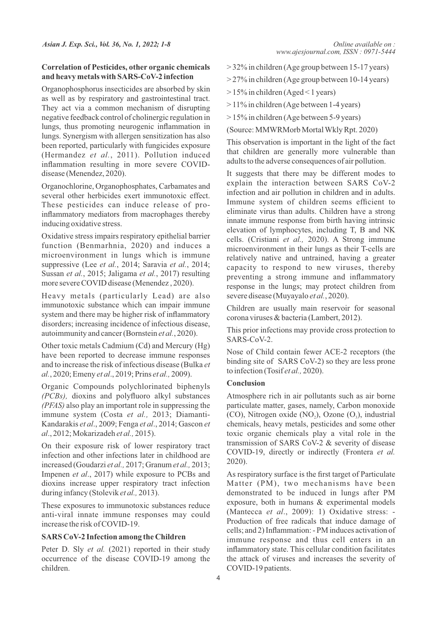#### **Correlation of Pesticides, other organic chemicals and heavy metals with SARS-CoV-2 infection**

Organophosphorus insecticides are absorbed by skin as well as by respiratory and gastrointestinal tract. They act via a common mechanism of disrupting negative feedback control of cholinergic regulation in lungs, thus promoting neurogenic inflammation in lungs. Synergism with allergen sensitization has also been reported, particularly with fungicides exposure (Hermandez *et al.*, 2011). Pollution induced inflammation resulting in more severe COVIDdisease (Menendez, 2020).

Organochlorine, Organophosphates, Carbamates and several other herbicides exert immunotoxic effect. These pesticides can induce release of proinflammatory mediators from macrophages thereby inducing oxidative stress.

Oxidative stress impairs respiratory epithelial barrier function (Benmarhnia, 2020) and induces a microenvironment in lungs which is immune suppressive (Lee *et al.*, 2014; Saravia *et al.*, 2014; Sussan *et al.*, 2015; Jaligama *et al.*, 2017) resulting more severe COVID disease (Menendez , 2020).

Heavy metals (particularly Lead) are also immunotoxic substance which can impair immune system and there may be higher risk of inflammatory disorders; increasing incidence of infectious disease, autoimmunity and cancer (Bornstein *et al.*, 2020).

Other toxic metals Cadmium (Cd) and Mercury (Hg) have been reported to decrease immune responses and to increase the risk of infectious disease (Bulka *et al.*, 2020; Emeny *et al*., 2019; Prins *et al.,* 2009).

Organic Compounds polychlorinated biphenyls *(PCBs),* dioxins and polyfluoro alkyl substances *(PFAS)* also play an important role in suppressing the immune system (Costa *et al.,* 2013; Diamanti-Kandarakis *et al*., 2009; Fenga *et al*., 2014; Gascon *et al*., 2012; Mokarizadeh *et al.,* 2015).

On their exposure risk of lower respiratory tract infection and other infections later in childhood are increased (Goudarzi *et al.,* 2017; Granum *et al.,* 2013; Impenen *et al*., 2017) while exposure to PCBs and dioxins increase upper respiratory tract infection during infancy (Stolevik *et al.,* 2013).

These exposures to immunotoxic substances reduce anti-viral innate immune responses may could increase the risk of COVID-19.

#### **SARS CoV-2 Infection among the Children**

Peter D. Sly *et al.* (2021) reported in their study occurrence of the disease COVID-19 among the children.

- > 32% in children (Age group between 15-17 years)
- > 27% in children (Age group between 10-14 years)
- $> 15\%$  in children (Aged < 1 years)
- > 11% in children (Age between 1-4 years)
- > 15% in children (Age between 5-9 years)

(Source: MMWRMorb Mortal Wkly Rpt. 2020)

This observation is important in the light of the fact that children are generally more vulnerable than adults to the adverse consequences of air pollution.

It suggests that there may be different modes to explain the interaction between SARS CoV-2 infection and air pollution in children and in adults. Immune system of children seems efficient to eliminate virus than adults. Children have a strong innate immune response from birth having intrinsic elevation of lymphocytes, including T, B and NK cells. (Cristiani *et al.,* 2020). A Strong immune microenvironment in their lungs as their T-cells are relatively native and untrained, having a greater capacity to respond to new viruses, thereby preventing a strong immune and inflammatory response in the lungs; may protect children from severe disease (Muyayalo *et al.*, 2020).

Children are usually main reservoir for seasonal corona viruses & bacteria (Lambert, 2012).

This prior infections may provide cross protection to SARS-CoV-2.

Nose of Child contain fewer ACE-2 receptors (the binding site of SARS CoV-2) so they are less prone to infection (Tosif *et al.,* 2020).

#### **Conclusion**

Atmosphere rich in air pollutants such as air borne particulate matter, gases, namely, Carbon monoxide (CO), Nitrogen oxide  $(NO<sub>2</sub>)$ , Ozone  $(O<sub>3</sub>)$ , industrial chemicals, heavy metals, pesticides and some other toxic organic chemicals play a vital role in the transmission of SARS CoV-2 & severity of disease COVID-19, directly or indirectly (Frontera *et al.* 2020).

As respiratory surface is the first target of Particulate Matter (PM), two mechanisms have been demonstrated to be induced in lungs after PM exposure, both in humans & experimental models (Mantecca *et al*., 2009): 1) Oxidative stress: - Production of free radicals that induce damage of cells; and 2) Inflammation: - PM induces activation of immune response and thus cell enters in an inflammatory state. This cellular condition facilitates the attack of viruses and increases the severity of COVID-19 patients.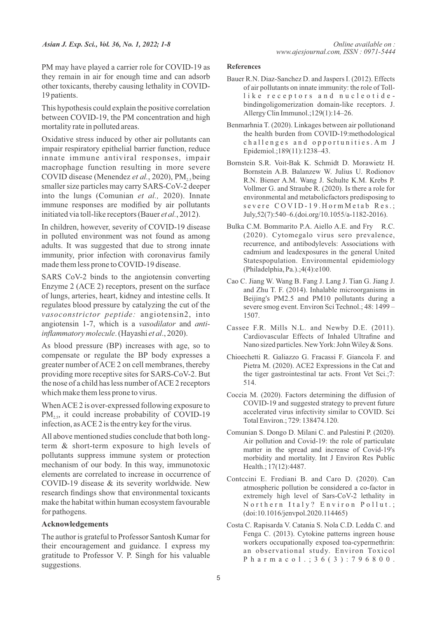PM may have played a carrier role for COVID-19 as they remain in air for enough time and can adsorb other toxicants, thereby causing lethality in COVID-19 patients.

This hypothesis could explain the positive correlation between COVID-19, the PM concentration and high mortality rate in polluted areas.

Oxidative stress induced by other air pollutants can impair respiratory epithelial barrier function, reduce innate immune antiviral responses, impair macrophage function resulting in more severe COVID disease (Menendez *et al.*, 2020), PM<sub>2</sub>, being smaller size particles may carry SARS-CoV-2 deeper into the lungs (Comunian *et al.,* 2020). Innate immune responses are modified by air pollutants initiated via toll-like receptors (Bauer *et al.*, 2012).

In children, however, severity of COVID-19 disease in polluted environment was not found as among adults. It was suggested that due to strong innate immunity, prior infection with coronavirus family made them less prone to COVID-19 disease.

SARS CoV-2 binds to the angiotensin converting Enzyme 2 (ACE 2) receptors, present on the surface of lungs, arteries, heart, kidney and intestine cells. It regulates blood pressure by catalyzing the cut of the *vasoconstrictor peptide:* angiotensin2, into angiotensin 1-7, which is a *vasodilator* and *antiinflammatory molecule*. (Hayashi *et al*., 2020).

As blood pressure (BP) increases with age, so to compensate or regulate the BP body expresses a greater number of ACE 2 on cell membranes, thereby providing more receptive sites for SARS-CoV-2. But the nose of a child has less number of ACE 2 receptors which make them less prone to virus.

When ACE 2 is over-expressed following exposure to  $PM<sub>25</sub>$ , it could increase probability of COVID-19. infection, as ACE 2 is the entry key for the virus.

All above mentioned studies conclude that both longterm & short-term exposure to high levels of pollutants suppress immune system or protection mechanism of our body. In this way, immunotoxic elements are correlated to increase in occurrence of COVID-19 disease & its severity worldwide. New research findings show that environmental toxicants make the habitat within human ecosystem favourable for pathogens.

#### **Acknowledgements**

The author is grateful to Professor Santosh Kumar for their encouragement and guidance. I express my gratitude to Professor V. P. Singh for his valuable suggestions.

#### **References**

- Bauer R.N. Diaz-Sanchez D. and Jaspers I. (2012). Effects of air pollutants on innate immunity: the role of Tolllike receptors and nucleotidebindingoligomerization domain-like receptors. J. Allergy Clin Immunol.;129(1):14–26.
- Benmarhnia T. (2020). Linkages between air pollutionand the health burden from COVID-19:methodological challenges and opportunities. Am J Epidemiol.;189(11):1238–43.
- Bornstein S.R. Voit-Bak K. Schmidt D. Morawietz H. Bornstein A.B. Balanzew W. Julius U. Rodionov R.N. Biener A.M. Wang J. Schulte K.M. Krebs P. Vollmer G. and Straube R. (2020). Is there a role for environmental and metabolicfactors predisposing to severe COVID-19. Horm Metab Res.: July,52(7):540–6.(doi.org/10.1055/a-1182-2016).
- Bulka C.M. Bommarito P.A. Aiello A.E. and Fry R.C. (2020). Cytomegalo virus sero prevalence, recurrence, and antibodylevels: Associations with cadmium and leadexposures in the general United Statespopulation. Environmental epidemiology (Philadelphia, Pa.).;4(4):e100.
- Cao C. Jiang W. Wang B. Fang J. Lang J. Tian G. Jiang J. and Zhu T. F. (2014). Inhalable microorganisms in Beijing's PM2.5 and PM10 pollutants during a severe smog event. Environ Sci Technol.; 48: 1499 – 1507.
- Cassee F.R. Mills N.L. and Newby D.E. (2011). Cardiovascular Effects of Inhaled Ultrafine and Nano sized particles. New York: John Wiley & Sons.
- Chioechetti R. Galiazzo G. Fracassi F. Giancola F. and Pietra M. (2020). ACE2 Expressions in the Cat and the tiger gastrointestinal tar acts. Front Vet Sci.;7: 514.
- Coccia M. (2020). Factors determining the diffusion of COVID-19 and suggested strategy to prevent future accelerated virus infectivity similar to COVID. Sci Total Environ.; 729: 138474.120.
- Comunian S. Dongo D. Milani C. and Palestini P. (2020). Air pollution and Covid-19: the role of particulate matter in the spread and increase of Covid-19's morbidity and mortality. Int J Environ Res Public Health.; 17(12):4487.
- Contccini E. Frediani B. and Caro D. (2020). Can atmospheric pollution be considered a co-factor in extremely high level of Sars-CoV-2 lethality in Northern Italy? Environ Pollut.; (doi:10.1016/jenvpol.2020.114465)
- Costa C. Rapisarda V. Catania S. Nola C.D. Ledda C. and Fenga C. (2013). Cytokine patterns ingreen house workers occupationally exposed toa-cypermethrin: an observational study. Environ Toxicol P h a r m a c o 1 . ; 3 6 (3) : 7 9 6 8 0 0.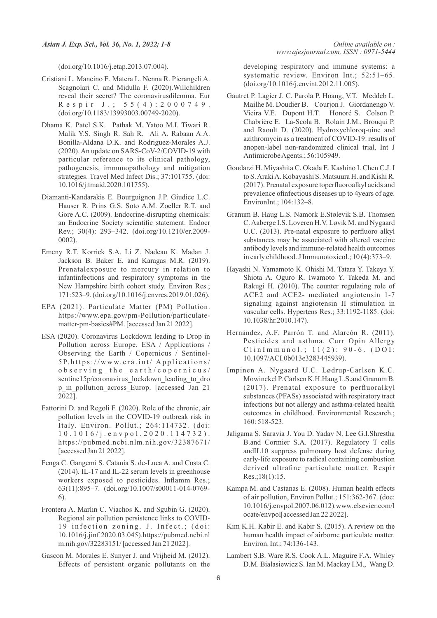(doi.org/10.1016/j.etap.2013.07.004).

- Cristiani L. Mancino E. Matera L. Nenna R. Pierangeli A. Scagnolari C. and Midulla F. (2020).Willchildren reveal their secret? The coronavirusdilemma. Eur R e s p i r J .; 5 5 (4) : 2 0 0 0 7 4 9. (doi.org/10.1183/13993003.00749-2020).
- Dhama K. Patel S.K. Pathak M. Yatoo M.I. Tiwari R. Malik Y.S. Singh R. Sah R. Ali A. Rabaan A.A. Bonilla-Aldana D.K. and Rodriguez-Morales A.J. (2020). An update on SARS-CoV-2/COVID-19 with particular reference to its clinical pathology, pathogenesis, immunopathology and mitigation strategies. Travel Med Infect Dis.; 37:101755. (doi: 10.1016/j.tmaid.2020.101755).
- Diamanti-Kandarakis E. Bourguignon J.P. Giudice L.C. Hauser R. Prins G.S. Soto A.M. Zoeller R.T. and Gore A.C. (2009). Endocrine-disrupting chemicals: an Endocrine Society scientific statement. Endocr Rev.; 30(4): 293–342. (doi.org/10.1210/er.2009- 0002).
- Emeny R.T. Korrick S.A. Li Z. Nadeau K. Madan J. Jackson B. Baker E. and Karagas M.R. (2019). Prenatalexposure to mercury in relation to infantinfections and respiratory symptoms in the New Hampshire birth cohort study. Environ Res.; 171:523–9. (doi.org/10.1016/j.envres.2019.01.026).
- EPA (2021). Particulate Matter (PM) Pollution. https://www.epa.gov/pm-Pollution/particulatematter-pm-basics#PM. [accessed Jan 21 2022].
- ESA (2020). Coronavirus Lockdown leading to Drop in Pollution across Europe. ESA / Applications / Observing the Earth / Copernicus / Sentinel-5P. h tt p s:// w w w. e r a .i n t/ A p p li c a ti o n s/  $obs$  erving the earth/copernicus/ sentine15p/coronavirus lockdown leading to dro p\_in\_pollution\_across\_Europ. [accessed Jan 21 2022].
- Fattorini D. and Regoli F. (2020). Role of the chronic, air pollution levels in the COVID-19 outbreak risk in Italy. Environ. Pollut.; 264:114732. (doi: 1 0 . 1 0 1 6 / j . e n v p o l . 2 0 2 0 . 1 1 4 7 3 2 ) . https://pubmed.ncbi.nlm.nih.gov/32387671/ [accessed Jan 21 2022].
- Fenga C. Gangemi S. Catania S. de-Luca A. and Costa C. (2014). IL-17 and IL-22 serum levels in greenhouse workers exposed to pesticides. Inflamm Res.; 63(11):895–7. (doi.org/10.1007/s00011-014-0769- 6).
- Frontera A. Marlin C. Viachos K. and Sgubin G. (2020). Regional air pollution persistence links to COVID-19 infection zoning. J. Infect.; (doi: 10.1016/j.jinf.2020.03.045).https://pubmed.ncbi.nl m.nih.gov/32283151/ [accessed Jan 21 2022].
- Gascon M. Morales E. Sunyer J. and Vrijheid M. (2012). Effects of persistent organic pollutants on the

developing respiratory and immune systems: a systematic review. Environ Int.; 52:51–65. (doi.org/10.1016/j.envint.2012.11.005).

- Gautrct P. Lagier J. C. Parola P. Hoang, V.T. Meddeb L. Mailhe M. Doudier B. Courjon J. Giordanengo V. Vieira V.E. Dupont H.T. Honoré S. Colson P. Chabrière E. La-Scola B. Rolain J.M., Brouqui P. and Raoult D. (2020). Hydroxychloroq-uine and azithromycin as a treatment of COVID-19: results of anopen-label non-randomized clinical trial, Int J Antimicrobe Agents.; 56:105949.
- Goudarzi H. Miyashita C. Okada E. Kashino I. Chen C.J. I to S. Araki A. Kobayashi S. Matsuura H. and Kishi R. (2017). Prenatal exposure toperfluoroalkyl acids and prevalence ofinfectious diseases up to 4years of age. EnvironInt.; 104:132–8.
- Granum B. Haug L.S. Namork E.Stølevik S.B. Thomsen C. Aaberge I.S. Loveren H.V. Løvik M. and Nygaard U.C. (2013). Pre-natal exposure to perfluoro alkyl substances may be associated with altered vaccine antibody levels and immune-related health outcomes in early childhood. J Immunotoxicol.; 10 (4):373–9.
- Hayashi N. Yamamoto K. Ohishi M. Tatara Y. Takeya Y. Shiota A. Oguro R. Iwamoto Y. Takeda M. and Rakugi H. (2010). The counter regulating role of ACE2 and ACE2- mediated angiotensin 1-7 signaling against angiotensin II stimulation in vascular cells. Hypertens Res.; 33:1192-1185. (doi: 10.1038/hr.2010.147).
- Hernández, A.F. Parrón T. and Alarcón R. (2011). Pesticides and asthma. Curr Opin Allergy  $ClinImmunol.; 11(2): 90-6. (DOI:$ 10.1097/ACI.0b013e3283445939).
- Impinen A. Nygaard U.C. Lødrup-Carlsen K.C. Mowinckel P. Carlsen K.H.Haug L.S.and Granum B. (2017). Prenatal exposure to perfluoralkyl substances (PFASs) associated with respiratory tract infections but not allergy and asthma-related health outcomes in childhood. Environmental Research.; 160: 518-523.
- Jaligama S. Saravia J. You D. Yadav N. Lee G.I.Shrestha B.and Cormier S.A. (2017). Regulatory T cells andIL10 suppress pulmonary host defense during early-life exposure to radical containing combustion derived ultrafine particulate matter. Respir Res.;18(1):15.
- Kampa M. and Castanas E. (2008). Human health effects of air pollution, Environ Pollut.; 151:362-367. (doe: 10.1016/j.envpol.2007.06.012).www.elsevier.com/l ocate/envpol[accessed Jan 22 2022].
- Kim K.H. Kabir E. and Kabir S. (2015). A review on the human health impact of airborne particulate matter. Environ. Int.; 74:136-143.
- Lambert S.B. Ware R.S. Cook A.L. Maguire F.A. Whiley D.M. Bialasiewicz S. Ian M. Mackay I.M., Wang D.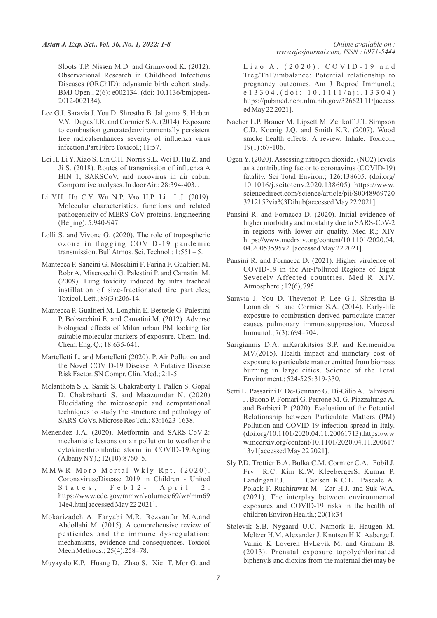Sloots T.P. Nissen M.D. and Grimwood K. (2012). Observational Research in Childhood Infectious Diseases (ORChID): adynamic birth cohort study. BMJ Open.; 2(6): e002134. (doi: 10.1136/bmjopen-2012-002134).

- Lee G.I. Saravia J. You D. Shrestha B. Jaligama S. Hebert V.Y. Dugas T.R. and Cormier S.A. (2014). Exposure to combustion generatedenvironmentally persistent free radicalsenhances severity of influenza virus infection.Part Fibre Toxicol.; 11:57.
- Lei H. Li Y. Xiao S. Lin C.H. Norris S.L. Wei D. Hu Z. and Ji S. (2018). Routes of transmission of influenza A HIN 1, SARSCoV, and norovirus in air cabin: Comparative analyses. In door Air.; 28:394-403. .
- Li Y.H. Hu C.Y. Wu N.P. Vao H.P. Li L.J. (2019). Molecular characteristics, functions and related pathogenicity of MERS-CoV proteins. Engineering (Beijing); 5:940-947.
- Lolli S. and Vivone G. (2020). The role of tropospheric ozone in flagging COVID-19 pandemic transmission. Bull Atmos. Sci. Technol.; 1:551 – 5.
- Mantecca P. Sancini G. Moschini F. Farina F. Gualtieri M. Robr A. Miserocchi G. Palestini P. and Camatini M. (2009). Lung toxicity induced by intra tracheal instillation of size-fractionated tire particles; Toxicol. Lett.; 89(3):206-14.
- Mantecca P. Gualtieri M. Longhin E. Bestetle G. Palestini P. Bolzacchini E. and Camatini M. (2012). Adverse biological effects of Milan urban PM looking for suitable molecular markers of exposure. Chem. Ind. Chem. Eng. Q.; 18:635-641.
- Martelletti L. and Martelletti (2020). P. Air Pollution and the Novel COVID-19 Disease: A Putative Disease Risk Factor. SN Compr. Clin. Med.; 2:1-5.
- Melanthota S.K. Sanik S. Chakraborty I. Pallen S. Gopal D. Chakrabarti S. and Maazumdar N. (2020) Elucidating the microscopic and computational techniques to study the structure and pathology of SARS-CoVs. Microse Res Tch.; 83:1623-1638.
- Menendez J.A. (2020). Metformin and SARS-CoV-2: mechanistic lessons on air pollution to weather the cytokine/thrombotic storm in COVID-19.Aging (Albany NY).; 12(10):8760–5.
- M M W R M orb M ortal Wkly Rpt. (2020). CoronaviruseDisease 2019 in Children - United States, Feb  $12 -$  April 2. https://www.cdc.gov/mmwr/volumes/69/wr/mm69 14e4.htm[accessed May 22 2021].
- Mokarizadeh A. Faryabi M.R. Rezvanfar M.A.and Abdollahi M. (2015). A comprehensive review of pesticides and the immune dysregulation: mechanisms, evidence and consequences. Toxicol Mech Methods.; 25(4):258–78.
- Muyayalo K.P. Huang D. Zhao S. Xie T. Mor G. and

Liao A. (2020). COVID-19 and Treg/Th17imbalance: Potential relationship to pregnancy outcomes. Am J Reprod Immunol.; e 1 3 3 0 4 . ( d o i : 1 0 . 1 1 1 1 / a j i . 1 3 3 0 4 ) https://pubmed.ncbi.nlm.nih.gov/326621 11/[access ed May 22 2021].

- Naeher L.P. Brauer M. Lipsett M. Zelikoff J.T. Simpson C.D. Koenig J.Q. and Smith K.R. (2007). Wood smoke health effects: A review. Inhale. Toxicol.; 19(1) :67-106.
- Ogen Y. (2020). Assessing nitrogen dioxide. (NO2) levels as a contributing factor to coronavirus (COVID-19) fatality. Sci Total Environ.; 126:138605. (doi.org/ 10.1016/j.scitotenv.2020.138605) https://www. sciencedirect.com/science/article/pii/S0048969720 321215?via%3Dihub(accessed May 22 2021].
- Pansini R. and Fornacca D. (2020). Initial evidence of higher morbidity and mortality due to SARS-CoV-2 in regions with lower air quality. Med R.; XIV https://www.medrxiv.org/content/10.1101/2020.04. 04.20053595v2. [accessed May 22 2021].
- Pansini R. and Fornacca D. (2021). Higher virulence of COVID-19 in the Air-Polluted Regions of Eight Severely Affected countries. Med R. XIV. Atmosphere.; 12(6), 795.
- Saravia J. You D. Thevenot P. Lee G.I. Shrestha B Lomnicki S. and Cormier S.A. (2014). Early-life exposure to combustion-derived particulate matter causes pulmonary immunosuppression. Mucosal Immunol.; 7(3): 694–704.
- Sarigiannis D.A. mKarakitsios S.P. and Kermenidou MV.(2015). Health impact and monetary cost of exposure to particulate matter emitted from biomass burning in large cities. Science of the Total Environment.; 524-525: 319-330.
- Setti L. Passarini F. De-Gennaro G. Di-Gilio A. Palmisani J. Buono P. Fornari G. Perrone M. G. Piazzalunga A. and Barbieri P. (2020). Evaluation of the Potential Relationship between Particulate Matters (PM) Pollution and COVID-19 infection spread in Italy. (doi.org/10.1101/2020.04.11.20061713).https://ww w.medrxiv.org/content/10.1101/2020.04.11.200617 13v1[accessed May 22 2021].
- Sly P.D. Trottier B.A. Bulka C.M. Cormier C.A. Fobil J. Fry R.C. Kim K.W. KleebergerS. Kumar P. Landrigan P.J. Carlsen K.C.L Pascale A. Polack F. Ruchirawat M. Zar H.J. and Suk W.A. (2021). The interplay between environmental exposures and COVID-19 risks in the health of children Environ Health.; 20(1):34.
- Stølevik S.B. Nygaard U.C. Namork E. Haugen M. Meltzer H.M. Alexander J. Knutsen H.K. Aaberge I. Vainio K Loveren HvLøvik M. and Granum B. (2013). Prenatal exposure topolychlorinated biphenyls and dioxins from the maternal diet may be